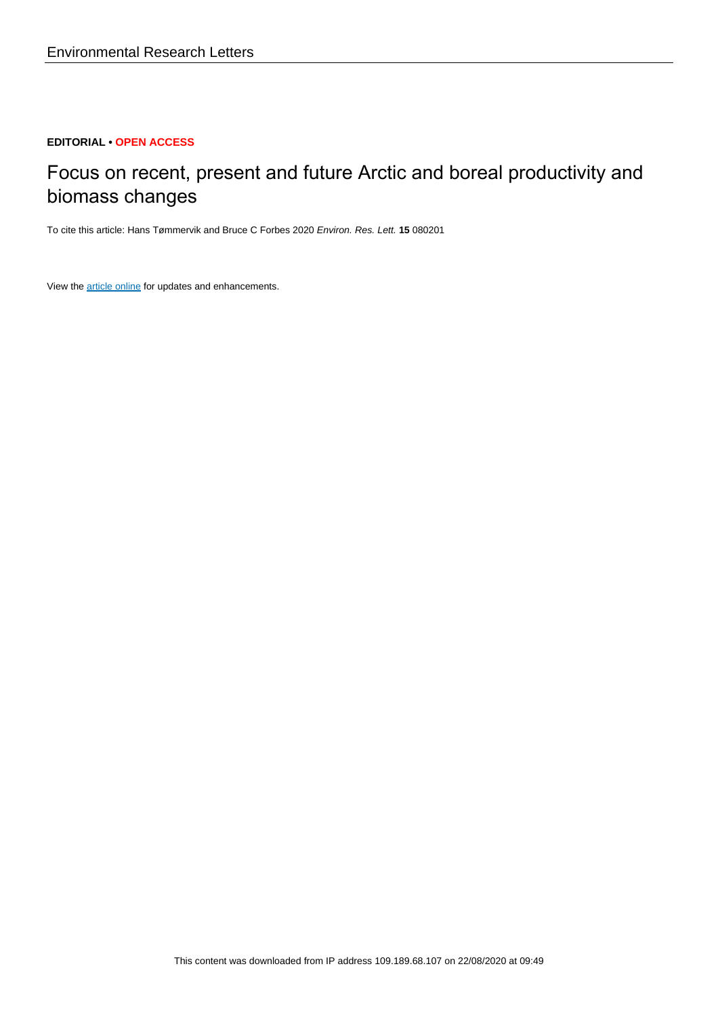# **EDITORIAL • OPEN ACCESS**

# Focus on recent, present and future Arctic and boreal productivity and biomass changes

To cite this article: Hans Tømmervik and Bruce C Forbes 2020 Environ. Res. Lett. **15** 080201

View the [article online](https://doi.org/10.1088/1748-9326/ab79e3) for updates and enhancements.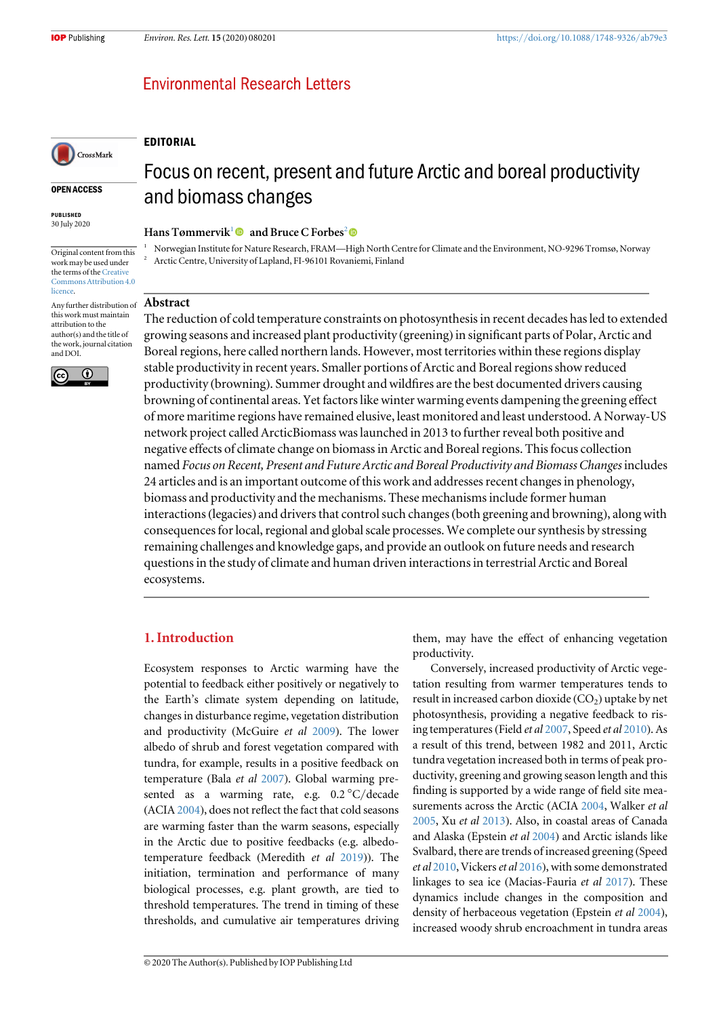# **Environmental Research Letters**

## EDITORIAL

OPEN ACCESS

PUBLISHED 30 July 2020

Original content from this work may be used under the terms of the [Creative](http://creativecommons.org/licenses/by/4.0) [Commons Attribution 4.0](http://creativecommons.org/licenses/by/4.0) [licence.](http://creativecommons.org/licenses/by/4.0)

CrossMark

Any further distribution of this work must maintain attribution to the author(s) and the title of the work, journal citation and DOI.



# Focus on recent, present and future Arctic and boreal productivity and biomass changes

#### Hans Tømmervik<sup>1</sup> and Bruce C Forbes<sup>2</sup>

<sup>1</sup> Norwegian Institute for Nature Research, FRAM—High North Centre for Climate and the Environment, NO-9296 Tromsø, Norway <sup>2</sup> Arctic Centre, University of Lapland, FI-96101 Rovaniemi, Finland

### Abstract

The reduction of cold temperature constraints on photosynthesis in recent decades has led to extended growing seasons and increased plant productivity (greening) in significant parts of Polar, Arctic and Boreal regions, here called northern lands. However, most territories within these regions display stable productivity in recent years. Smaller portions of Arctic and Boreal regions show reduced productivity (browning). Summer drought and wildfires are the best documented drivers causing browning of continental areas. Yet factors like winter warming events dampening the greening effect of more maritime regions have remained elusive, least monitored and least understood. A Norway-US network project called ArcticBiomass was launched in 2013 to further reveal both positive and negative effects of climate change on biomass in Arctic and Boreal regions. This focus collection named Focus on Recent, Present and Future Arctic and Boreal Productivity and Biomass Changes includes 24 articles and is an important outcome of this work and addresses recent changes in phenology, biomass and productivity and the mechanisms. These mechanisms include former human interactions(legacies) and drivers that control such changes(both greening and browning), along with consequences for local, regional and global scale processes. We complete our synthesis by stressing remaining challenges and knowledge gaps, and provide an outlook on future needs and research questions in the study of climate and human driven interactions in terrestrial Arctic and Boreal ecosystems.

### 1. Introduction

Ecosystem responses to Arctic warming have the potential to feedback either positively or negatively to the Earth's climate system depending on latitude, changes in disturbance regime, vegetation distribution and productivity (McGuire et al [2009](#page-6-0)). The lower albedo of shrub and forest vegetation compared with tundra, for example, results in a positive feedback on temperature (Bala et al [2007](#page-6-0)). Global warming presented as a warming rate, e.g. 0.2 °C/decade (ACIA [2004](#page-6-0)), does not reflect the fact that cold seasons are warming faster than the warm seasons, especially in the Arctic due to positive feedbacks (e.g. albedotemperature feedback (Meredith et al [2019](#page-6-0))). The initiation, termination and performance of many biological processes, e.g. plant growth, are tied to threshold temperatures. The trend in timing of these thresholds, and cumulative air temperatures driving them, may have the effect of enhancing vegetation productivity.

Conversely, increased productivity of Arctic vegetation resulting from warmer temperatures tends to result in increased carbon dioxide  $(CO<sub>2</sub>)$  uptake by net photosynthesis, providing a negative feedback to rising temperatures (Field et al [2007](#page-6-0), Speed et al [2010](#page-7-0)). As a result of this trend, between 1982 and 2011, Arctic tundra vegetation increased both in terms of peak productivity, greening and growing season length and this finding is supported by a wide range of field site measurements across the Arctic (ACIA [2004](#page-6-0), Walker et al [2005,](#page-7-0) Xu et al [2013](#page-7-0)). Also, in coastal areas of Canada and Alaska (Epstein et al [2004](#page-6-0)) and Arctic islands like Svalbard, there are trends of increased greening (Speed et al [2010,](#page-7-0) Vickers et al [2016](#page-7-0)), with some demonstrated linkages to sea ice (Macias-Fauria et al [2017](#page-6-0)). These dynamics include changes in the composition and density of herbaceous vegetation (Epstein et al [2004](#page-6-0)), increased woody shrub encroachment in tundra areas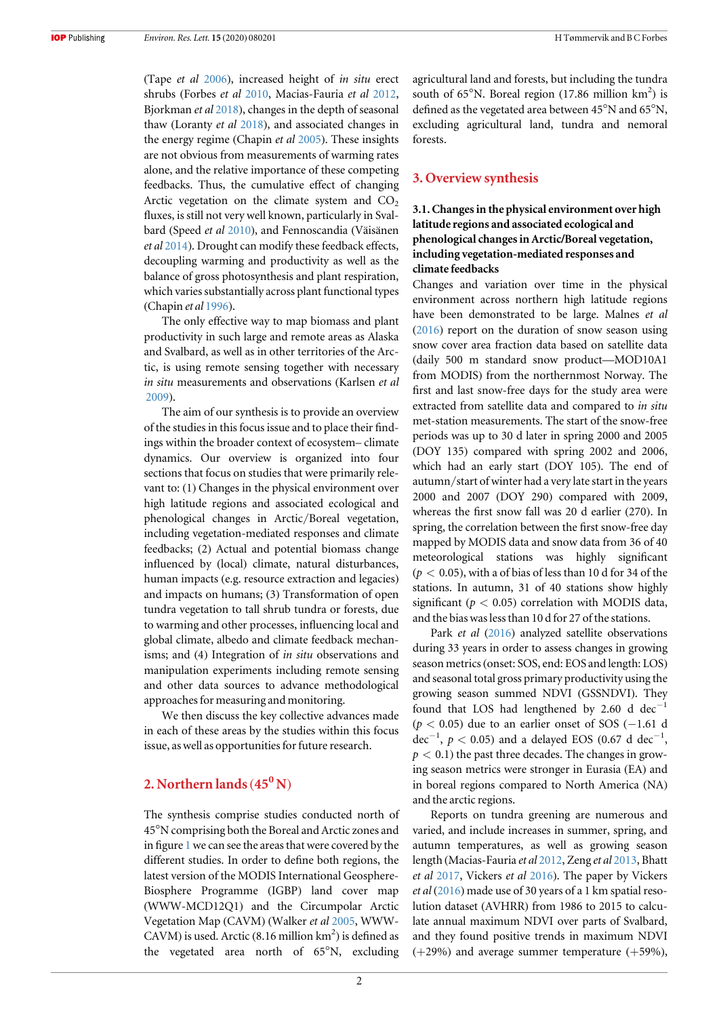(Tape et al [2006](#page-7-0)), increased height of in situ erect shrubs (Forbes et al [2010](#page-6-0), Macias-Fauria et al [2012,](#page-6-0) Bjorkman et al [2018](#page-6-0)), changes in the depth of seasonal thaw (Loranty et al [2018](#page-6-0)), and associated changes in the energy regime (Chapin et al [2005](#page-6-0)). These insights are not obvious from measurements of warming rates alone, and the relative importance of these competing feedbacks. Thus, the cumulative effect of changing Arctic vegetation on the climate system and  $CO<sub>2</sub>$ fluxes, is still not very well known, particularly in Svalbard (Speed et al [2010](#page-7-0)), and Fennoscandia (Väisänen et al [2014](#page-7-0)). Drought can modify these feedback effects, decoupling warming and productivity as well as the balance of gross photosynthesis and plant respiration, which varies substantially across plant functional types (Chapin et al [1996](#page-6-0)).

The only effective way to map biomass and plant productivity in such large and remote areas as Alaska and Svalbard, as well as in other territories of the Arctic, is using remote sensing together with necessary in situ measurements and observations (Karlsen et al [2009](#page-6-0)).

The aim of our synthesis is to provide an overview of the studies in this focus issue and to place their findings within the broader context of ecosystem– climate dynamics. Our overview is organized into four sections that focus on studies that were primarily relevant to: (1) Changes in the physical environment over high latitude regions and associated ecological and phenological changes in Arctic/Boreal vegetation, including vegetation-mediated responses and climate feedbacks; (2) Actual and potential biomass change influenced by (local) climate, natural disturbances, human impacts (e.g. resource extraction and legacies) and impacts on humans; (3) Transformation of open tundra vegetation to tall shrub tundra or forests, due to warming and other processes, influencing local and global climate, albedo and climate feedback mechanisms; and (4) Integration of in situ observations and manipulation experiments including remote sensing and other data sources to advance methodological approaches for measuring and monitoring.

We then discuss the key collective advances made in each of these areas by the studies within this focus issue, as well as opportunities for future research.

# 2. Northern lands  $(45^0 N)$

The synthesis comprise studies conducted north of 45°N comprising both the Boreal and Arctic zones and in figure [1](#page-3-0) we can see the areas that were covered by the different studies. In order to define both regions, the latest version of the MODIS International Geosphere-Biosphere Programme (IGBP) land cover map (WWW-MCD12Q1) and the Circumpolar Arctic Vegetation Map (CAVM) (Walker et al [2005,](#page-7-0) WWW-CAVM) is used. Arctic  $(8.16 \text{ million km}^2)$  is defined as the vegetated area north of 65°N, excluding

agricultural land and forests, but including the tundra south of  $65^{\circ}$ N. Boreal region (17.86 million  $km^2$ ) is defined as the vegetated area between 45°N and 65°N, excluding agricultural land, tundra and nemoral forests.

### 3. Overview synthesis

### 3.1. Changes in the physical environment over high latitude regions and associated ecological and phenological changes in Arctic/Boreal vegetation, including vegetation-mediated responses and climate feedbacks

Changes and variation over time in the physical environment across northern high latitude regions have been demonstrated to be large. Malnes et al ([2016](#page-6-0)) report on the duration of snow season using snow cover area fraction data based on satellite data (daily 500 m standard snow product—MOD10A1 from MODIS) from the northernmost Norway. The first and last snow-free days for the study area were extracted from satellite data and compared to in situ met-station measurements. The start of the snow-free periods was up to 30 d later in spring 2000 and 2005 (DOY 135) compared with spring 2002 and 2006, which had an early start (DOY 105). The end of autumn/start of winter had a very late start in the years 2000 and 2007 (DOY 290) compared with 2009, whereas the first snow fall was 20 d earlier (270). In spring, the correlation between the first snow-free day mapped by MODIS data and snow data from 36 of 40 meteorological stations was highly significant  $(p < 0.05)$ , with a of bias of less than 10 d for 34 of the stations. In autumn, 31 of 40 stations show highly significant ( $p < 0.05$ ) correlation with MODIS data, and the bias was less than 10 d for 27 of the stations.

Park et al ([2016](#page-6-0)) analyzed satellite observations during 33 years in order to assess changes in growing season metrics(onset: SOS, end: EOS and length: LOS) and seasonal total gross primary productivity using the growing season summed NDVI (GSSNDVI). They found that LOS had lengthened by 2.60 d dec<sup>-1</sup>  $(p < 0.05)$  due to an earlier onset of SOS (-1.61 d dec<sup>-1</sup>,  $p$  < 0.05) and a delayed EOS (0.67 d dec<sup>-1</sup>,  $p < 0.1$ ) the past three decades. The changes in growing season metrics were stronger in Eurasia (EA) and in boreal regions compared to North America (NA) and the arctic regions.

Reports on tundra greening are numerous and varied, and include increases in summer, spring, and autumn temperatures, as well as growing season length (Macias-Fauria et al [2012,](#page-6-0) Zeng et al [2013](#page-7-0), Bhatt et al [2017,](#page-6-0) Vickers et al [2016](#page-7-0)). The paper by Vickers et al ([2016](#page-7-0)) made use of 30 years of a 1 km spatial resolution dataset (AVHRR) from 1986 to 2015 to calculate annual maximum NDVI over parts of Svalbard, and they found positive trends in maximum NDVI  $(+29%)$  and average summer temperature  $(+59%)$ ,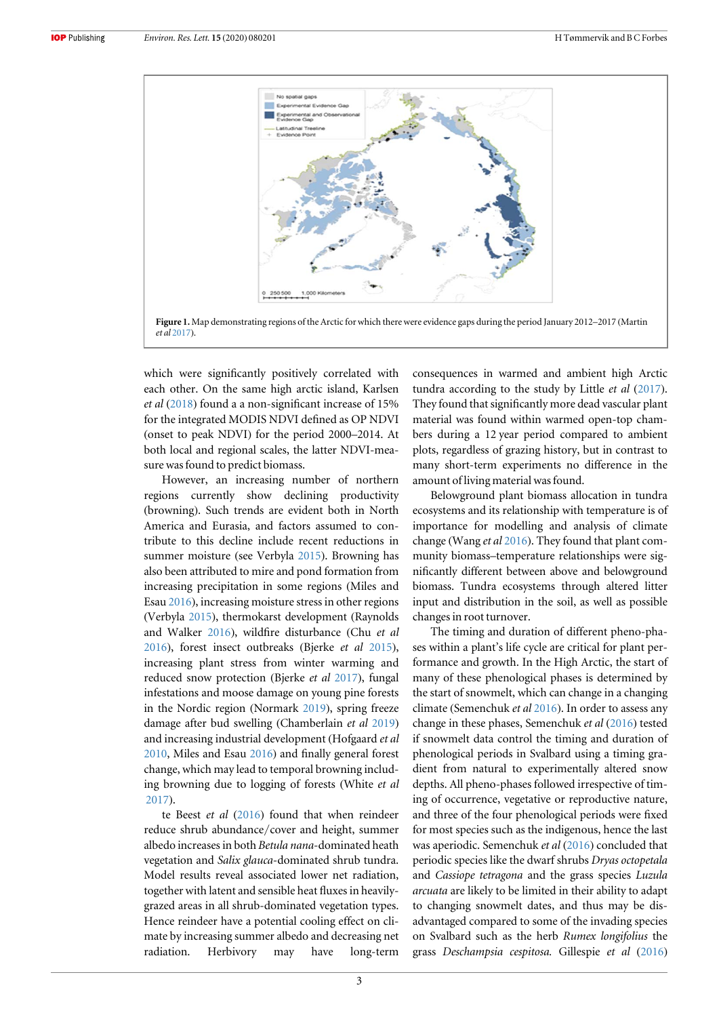<span id="page-3-0"></span>

which were significantly positively correlated with each other. On the same high arctic island, Karlsen et al ([2018](#page-6-0)) found a a non-significant increase of 15% for the integrated MODIS NDVI defined as OP NDVI (onset to peak NDVI) for the period 2000–2014. At both local and regional scales, the latter NDVI-measure was found to predict biomass.

However, an increasing number of northern regions currently show declining productivity (browning). Such trends are evident both in North America and Eurasia, and factors assumed to contribute to this decline include recent reductions in summer moisture (see Verbyla [2015](#page-7-0)). Browning has also been attributed to mire and pond formation from increasing precipitation in some regions (Miles and Esau [2016](#page-6-0)), increasing moisture stress in other regions (Verbyla [2015](#page-7-0)), thermokarst development (Raynolds and Walker [2016](#page-6-0)), wildfire disturbance (Chu et al [2016](#page-6-0)), forest insect outbreaks (Bjerke et al [2015](#page-6-0)), increasing plant stress from winter warming and reduced snow protection (Bjerke et al [2017](#page-6-0)), fungal infestations and moose damage on young pine forests in the Nordic region (Normark [2019](#page-6-0)), spring freeze damage after bud swelling (Chamberlain et al [2019](#page-6-0)) and increasing industrial development (Hofgaard et al [2010](#page-6-0), Miles and Esau [2016](#page-6-0)) and finally general forest change, which may lead to temporal browning including browning due to logging of forests (White et al [2017](#page-7-0)).

te Beest et al ([2016](#page-7-0)) found that when reindeer reduce shrub abundance/cover and height, summer albedo increases in both Betula nana-dominated heath vegetation and Salix glauca-dominated shrub tundra. Model results reveal associated lower net radiation, together with latent and sensible heat fluxes in heavilygrazed areas in all shrub-dominated vegetation types. Hence reindeer have a potential cooling effect on climate by increasing summer albedo and decreasing net radiation. Herbivory may have long-term consequences in warmed and ambient high Arctic tundra according to the study by Little et al ([2017](#page-6-0)). They found that significantly more dead vascular plant material was found within warmed open-top chambers during a 12 year period compared to ambient plots, regardless of grazing history, but in contrast to many short-term experiments no difference in the amount of living material was found.

Belowground plant biomass allocation in tundra ecosystems and its relationship with temperature is of importance for modelling and analysis of climate change (Wang et al [2016](#page-7-0)). They found that plant community biomass–temperature relationships were significantly different between above and belowground biomass. Tundra ecosystems through altered litter input and distribution in the soil, as well as possible changes in root turnover.

The timing and duration of different pheno-phases within a plant's life cycle are critical for plant performance and growth. In the High Arctic, the start of many of these phenological phases is determined by the start of snowmelt, which can change in a changing climate (Semenchuk et al [2016](#page-6-0)). In order to assess any change in these phases, Semenchuk et al ([2016](#page-6-0)) tested if snowmelt data control the timing and duration of phenological periods in Svalbard using a timing gradient from natural to experimentally altered snow depths. All pheno-phases followed irrespective of timing of occurrence, vegetative or reproductive nature, and three of the four phenological periods were fixed for most species such as the indigenous, hence the last was aperiodic. Semenchuk et al ([2016](#page-6-0)) concluded that periodic species like the dwarf shrubs Dryas octopetala and Cassiope tetragona and the grass species Luzula arcuata are likely to be limited in their ability to adapt to changing snowmelt dates, and thus may be disadvantaged compared to some of the invading species on Svalbard such as the herb Rumex longifolius the grass Deschampsia cespitosa. Gillespie et al ([2016](#page-6-0))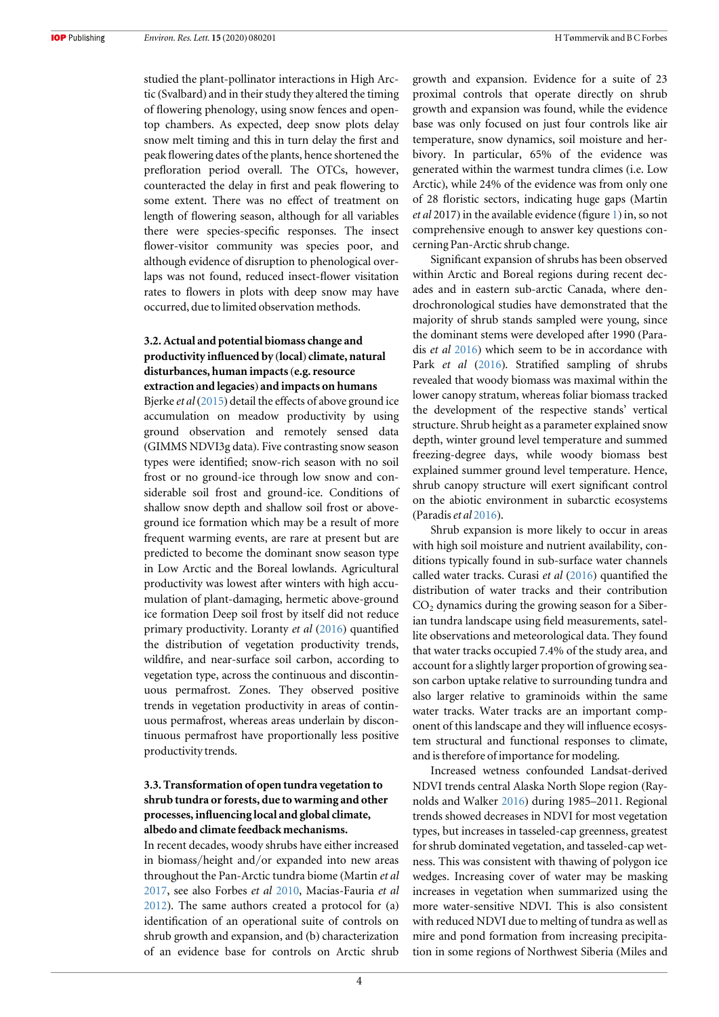studied the plant-pollinator interactions in High Arctic (Svalbard) and in their study they altered the timing of flowering phenology, using snow fences and opentop chambers. As expected, deep snow plots delay snow melt timing and this in turn delay the first and peak flowering dates of the plants, hence shortened the prefloration period overall. The OTCs, however, counteracted the delay in first and peak flowering to some extent. There was no effect of treatment on length of flowering season, although for all variables there were species-specific responses. The insect flower-visitor community was species poor, and although evidence of disruption to phenological overlaps was not found, reduced insect-flower visitation rates to flowers in plots with deep snow may have occurred, due to limited observation methods.

#### 3.2. Actual and potential biomass change and productivity influenced by (local) climate, natural disturbances, human impacts(e.g. resource extraction and legacies) and impacts on humans

Bjerke et al ([2015](#page-6-0)) detail the effects of above ground ice accumulation on meadow productivity by using ground observation and remotely sensed data (GIMMS NDVI3g data). Five contrasting snow season types were identified; snow-rich season with no soil frost or no ground-ice through low snow and considerable soil frost and ground-ice. Conditions of shallow snow depth and shallow soil frost or aboveground ice formation which may be a result of more frequent warming events, are rare at present but are predicted to become the dominant snow season type in Low Arctic and the Boreal lowlands. Agricultural productivity was lowest after winters with high accumulation of plant-damaging, hermetic above-ground ice formation Deep soil frost by itself did not reduce primary productivity. Loranty et al ([2016](#page-6-0)) quantified the distribution of vegetation productivity trends, wildfire, and near-surface soil carbon, according to vegetation type, across the continuous and discontinuous permafrost. Zones. They observed positive trends in vegetation productivity in areas of continuous permafrost, whereas areas underlain by discontinuous permafrost have proportionally less positive productivity trends.

## 3.3. Transformation of open tundra vegetation to shrub tundra or forests, due to warming and other processes, influencing local and global climate, albedo and climate feedback mechanisms.

In recent decades, woody shrubs have either increased in biomass/height and/or expanded into new areas throughout the Pan-Arctic tundra biome (Martin et al [2017](#page-6-0), see also Forbes et al [2010,](#page-6-0) Macias-Fauria et al [2012](#page-6-0)). The same authors created a protocol for (a) identification of an operational suite of controls on shrub growth and expansion, and (b) characterization of an evidence base for controls on Arctic shrub growth and expansion. Evidence for a suite of 23 proximal controls that operate directly on shrub growth and expansion was found, while the evidence base was only focused on just four controls like air temperature, snow dynamics, soil moisture and herbivory. In particular, 65% of the evidence was generated within the warmest tundra climes (i.e. Low Arctic), while 24% of the evidence was from only one of 28 floristic sectors, indicating huge gaps (Martin et al 2017) in the available evidence (figure [1](#page-3-0)) in, so not comprehensive enough to answer key questions concerning Pan-Arctic shrub change.

Significant expansion of shrubs has been observed within Arctic and Boreal regions during recent decades and in eastern sub-arctic Canada, where dendrochronological studies have demonstrated that the majority of shrub stands sampled were young, since the dominant stems were developed after 1990 (Paradis et al [2016](#page-6-0)) which seem to be in accordance with Park et al ([2016](#page-6-0)). Stratified sampling of shrubs revealed that woody biomass was maximal within the lower canopy stratum, whereas foliar biomass tracked the development of the respective stands' vertical structure. Shrub height as a parameter explained snow depth, winter ground level temperature and summed freezing-degree days, while woody biomass best explained summer ground level temperature. Hence, shrub canopy structure will exert significant control on the abiotic environment in subarctic ecosystems (Paradis et al [2016](#page-6-0)).

Shrub expansion is more likely to occur in areas with high soil moisture and nutrient availability, conditions typically found in sub-surface water channels called water tracks. Curasi et al ([2016](#page-6-0)) quantified the distribution of water tracks and their contribution  $CO<sub>2</sub>$  dynamics during the growing season for a Siberian tundra landscape using field measurements, satellite observations and meteorological data. They found that water tracks occupied 7.4% of the study area, and account for a slightly larger proportion of growing season carbon uptake relative to surrounding tundra and also larger relative to graminoids within the same water tracks. Water tracks are an important component of this landscape and they will influence ecosystem structural and functional responses to climate, and is therefore of importance for modeling.

Increased wetness confounded Landsat-derived NDVI trends central Alaska North Slope region (Raynolds and Walker [2016](#page-6-0)) during 1985–2011. Regional trends showed decreases in NDVI for most vegetation types, but increases in tasseled-cap greenness, greatest for shrub dominated vegetation, and tasseled-cap wetness. This was consistent with thawing of polygon ice wedges. Increasing cover of water may be masking increases in vegetation when summarized using the more water-sensitive NDVI. This is also consistent with reduced NDVI due to melting of tundra as well as mire and pond formation from increasing precipitation in some regions of Northwest Siberia (Miles and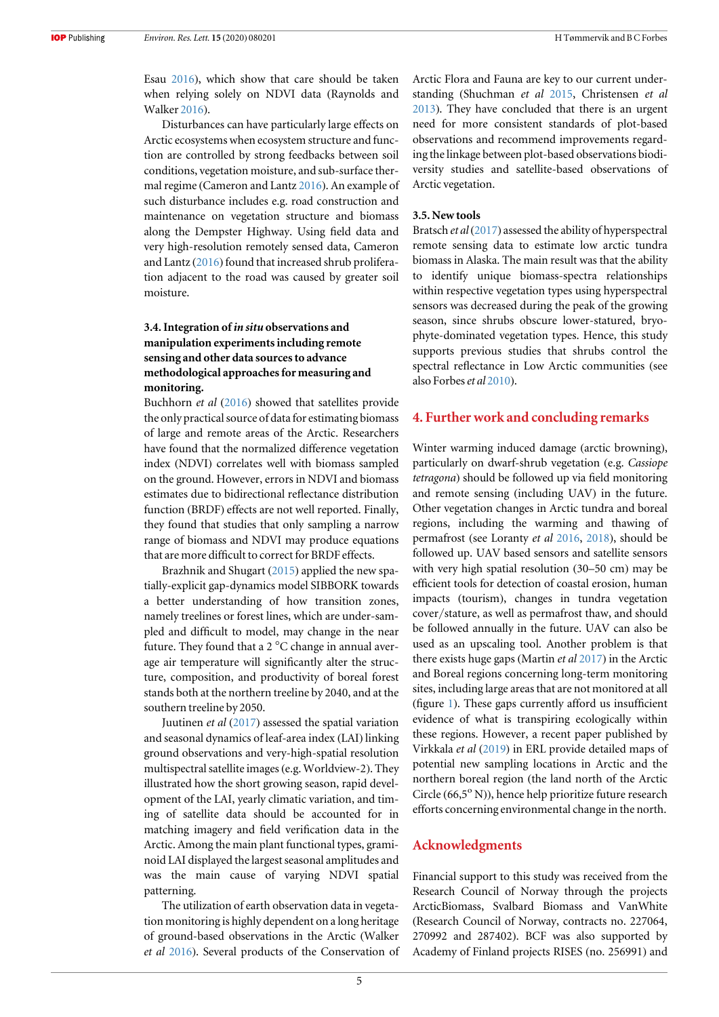Esau [2016](#page-6-0)), which show that care should be taken when relying solely on NDVI data (Raynolds and Walker [2016](#page-6-0)).

Disturbances can have particularly large effects on Arctic ecosystems when ecosystem structure and function are controlled by strong feedbacks between soil conditions, vegetation moisture, and sub-surface thermal regime (Cameron and Lantz [2016](#page-6-0)). An example of such disturbance includes e.g. road construction and maintenance on vegetation structure and biomass along the Dempster Highway. Using field data and very high-resolution remotely sensed data, Cameron and Lantz ([2016](#page-6-0)) found that increased shrub proliferation adjacent to the road was caused by greater soil moisture.

## 3.4. Integration of in situ observations and manipulation experiments including remote sensing and other data sources to advance methodological approaches for measuring and monitoring.

Buchhorn et al ([2016](#page-6-0)) showed that satellites provide the only practical source of data for estimating biomass of large and remote areas of the Arctic. Researchers have found that the normalized difference vegetation index (NDVI) correlates well with biomass sampled on the ground. However, errors in NDVI and biomass estimates due to bidirectional reflectance distribution function (BRDF) effects are not well reported. Finally, they found that studies that only sampling a narrow range of biomass and NDVI may produce equations that are more difficult to correct for BRDF effects.

Brazhnik and Shugart ([2015](#page-6-0)) applied the new spatially-explicit gap-dynamics model SIBBORK towards a better understanding of how transition zones, namely treelines or forest lines, which are under-sampled and difficult to model, may change in the near future. They found that a  $2^{\circ}$ C change in annual average air temperature will significantly alter the structure, composition, and productivity of boreal forest stands both at the northern treeline by 2040, and at the southern treeline by 2050.

Juutinen et al ([2017](#page-6-0)) assessed the spatial variation and seasonal dynamics of leaf-area index (LAI) linking ground observations and very-high-spatial resolution multispectral satellite images(e.g. Worldview-2). They illustrated how the short growing season, rapid development of the LAI, yearly climatic variation, and timing of satellite data should be accounted for in matching imagery and field verification data in the Arctic. Among the main plant functional types, graminoid LAI displayed the largest seasonal amplitudes and was the main cause of varying NDVI spatial patterning.

The utilization of earth observation data in vegetation monitoring is highly dependent on a long heritage of ground-based observations in the Arctic (Walker et al [2016](#page-7-0)). Several products of the Conservation of Arctic Flora and Fauna are key to our current understanding (Shuchman et al [2015](#page-6-0), Christensen et al [2013](#page-6-0)). They have concluded that there is an urgent need for more consistent standards of plot-based observations and recommend improvements regarding the linkage between plot-based observations biodiversity studies and satellite-based observations of Arctic vegetation.

#### 3.5. New tools

Bratsch et al ([2017](#page-6-0)) assessed the ability of hyperspectral remote sensing data to estimate low arctic tundra biomass in Alaska. The main result was that the ability to identify unique biomass-spectra relationships within respective vegetation types using hyperspectral sensors was decreased during the peak of the growing season, since shrubs obscure lower-statured, bryophyte-dominated vegetation types. Hence, this study supports previous studies that shrubs control the spectral reflectance in Low Arctic communities (see also Forbes *et al* [2010](#page-6-0)).

#### 4. Further work and concluding remarks

Winter warming induced damage (arctic browning), particularly on dwarf-shrub vegetation (e.g. Cassiope tetragona) should be followed up via field monitoring and remote sensing (including UAV) in the future. Other vegetation changes in Arctic tundra and boreal regions, including the warming and thawing of permafrost (see Loranty et al [2016](#page-6-0), [2018](#page-6-0)), should be followed up. UAV based sensors and satellite sensors with very high spatial resolution (30–50 cm) may be efficient tools for detection of coastal erosion, human impacts (tourism), changes in tundra vegetation cover/stature, as well as permafrost thaw, and should be followed annually in the future. UAV can also be used as an upscaling tool. Another problem is that there exists huge gaps (Martin et al [2017](#page-6-0)) in the Arctic and Boreal regions concerning long-term monitoring sites, including large areas that are not monitored at all (figure [1](#page-3-0)). These gaps currently afford us insufficient evidence of what is transpiring ecologically within these regions. However, a recent paper published by Virkkala et al ([2019](#page-7-0)) in ERL provide detailed maps of potential new sampling locations in Arctic and the northern boreal region (the land north of the Arctic Circle (66,5 $^{\circ}$  N)), hence help prioritize future research efforts concerning environmental change in the north.

#### Acknowledgments

Financial support to this study was received from the Research Council of Norway through the projects ArcticBiomass, Svalbard Biomass and VanWhite (Research Council of Norway, contracts no. 227064, 270992 and 287402). BCF was also supported by Academy of Finland projects RISES (no. 256991) and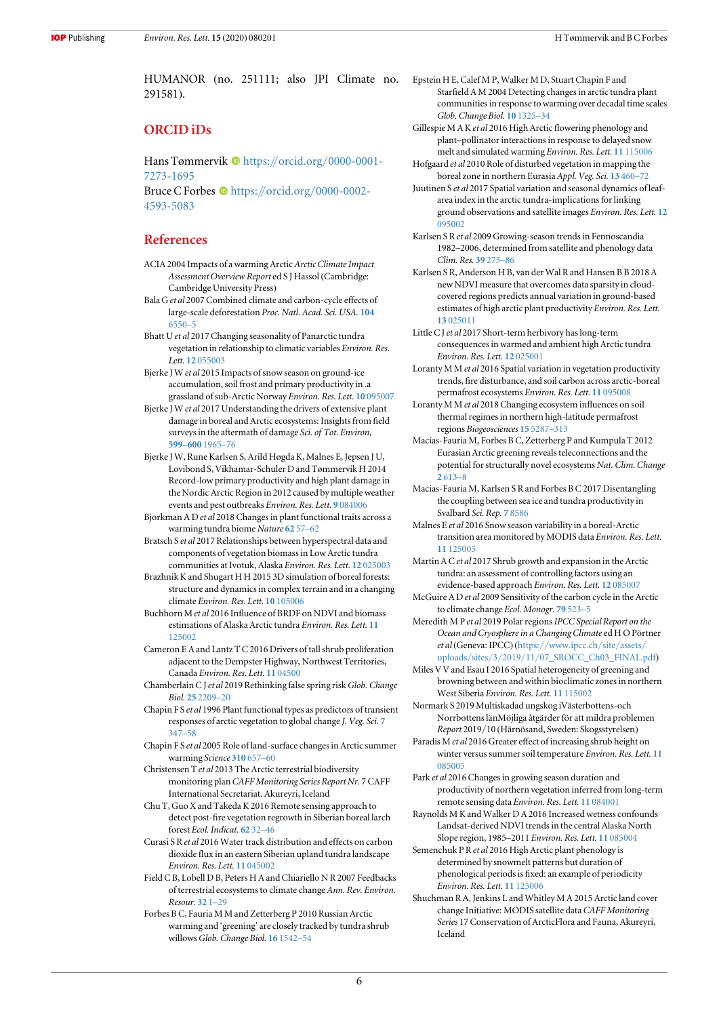<span id="page-6-0"></span>HUMANOR (no. 251111; also JPI Climate no. 291581).

#### ORCID iDs

Hans Tømmervik  $\bullet$  [https:](https://orcid.org/0000-0001-7273-1695)//orcid.org/[0000-0001-](https://orcid.org/0000-0001-7273-1695) [7273-1695](https://orcid.org/0000-0001-7273-1695)

Bruce C Forbes  $\bullet$  [https:](https://orcid.org/0000-0002-4593-5083)//orcid.org/[0000-0002-](https://orcid.org/0000-0002-4593-5083) [4593-5083](https://orcid.org/0000-0002-4593-5083)

#### References

- ACIA 2004 Impacts of a warming Arctic Arctic Climate Impact Assessment Overview Report ed S J Hassol (Cambridge: Cambridge University Press)
- Bala G et al 2007 Combined climate and carbon-cycle effects of large-scale deforestation Proc. Natl. Acad. Sci. USA. [104](https://doi.org/10.1073/pnas.0608998104) [6550](https://doi.org/10.1073/pnas.0608998104)–5
- Bhatt U et al 2017 Changing seasonality of Panarctic tundra vegetation in relationship to climatic variables Environ. Res. Lett. 12 [055003](https://doi.org/10.1088/1748-9326/aa6b0b)
- Bjerke JW et al 2015 Impacts of snow season on ground-ice accumulation, soil frost and primary productivity in .a grassland of sub-Arctic Norway Environ. Res. Lett. 10 [095007](https://doi.org/10.1088/1748-9326/10/9/095007)
- Bjerke JW et al 2017 Understanding the drivers of extensive plant damage in boreal and Arctic ecosystems: Insights from field surveys in the aftermath of damage Sci. of Tot. Environ, [599](https://doi.org/10.1016/j.scitotenv.2017.05.050)–600 [1965](https://doi.org/10.1016/j.scitotenv.2017.05.050)–76
- Bjerke JW, Rune Karlsen S, Arild Høgda K, Malnes E, Jepsen J U, Lovibond S, Vikhamar-Schuler D and Tømmervik H 2014 Record-low primary productivity and high plant damage in the Nordic Arctic Region in 2012 caused by multiple weather events and pest outbreaks Environ. Res. Lett. 9 [084006](https://doi.org/10.1088/1748-9326/9/8/084006)
- Bjorkman A D et al 2018 Changes in plant functional traits across a warming tundra biome Nature [62](https://doi.org/10.1038/s41586-018-0563-7) 57–62
- Bratsch S et al 2017 Relationships between hyperspectral data and components of vegetation biomass in Low Arctic tundra communities at Ivotuk, Alaska Environ. Res. Lett. 12 [025003](https://doi.org/10.1088/1748-9326/aa572e)
- Brazhnik K and Shugart H H 2015 3D simulation of boreal forests: structure and dynamics in complex terrain and in a changing climate Environ. Res. Lett. 10 [105006](https://doi.org/10.1088/1748-9326/10/10/105006)
- Buchhorn M et al 2016 Influence of BRDF on NDVI and biomass estimations of Alaska Arctic tundra Environ. Res. Lett. [11](https://doi.org/10.1088/1748-9326/11/12/125002) [125002](https://doi.org/10.1088/1748-9326/11/12/125002)
- Cameron E A and Lantz T C 2016 Drivers of tall shrub proliferation adjacent to the Dempster Highway, Northwest Territories, Canada Environ. Res. Lett. 11 [04500](https://doi.org/10.1088/1748-9326/11/4/045006)
- Chamberlain C J et al 2019 Rethinking false spring risk Glob. Change Biol. 25 [2209](https://doi.org/10.1111/gcb.14642)–20
- Chapin F S et al 1996 Plant functional types as predictors of transient responses of arctic vegetation to global change J. Veg. Sci. [7](https://doi.org/10.2307/3236278) [347](https://doi.org/10.2307/3236278)–58
- Chapin F S et al 2005 Role of land-surface changes in Arctic summer warming Science [310](https://doi.org/10.1126/science.1117368) 657–60
- Christensen T et al 2013 The Arctic terrestrial biodiversity monitoring plan CAFF Monitoring Series Report Nr. 7 CAFF International Secretariat. Akureyri, Iceland
- Chu T, Guo X and Takeda K 2016 Remote sensing approach to detect post-fire vegetation regrowth in Siberian boreal larch forest Ecol. Indicat. [62](https://doi.org/10.1016/j.ecolind.2015.11.026) 32–46
- Curasi S R et al 2016 Water track distribution and effects on carbon dioxide flux in an eastern Siberian upland tundra landscape Environ. Res. Lett. 11 [045002](https://doi.org/10.1088/1748-9326/11/4/045002)
- Field C B, Lobell D B, Peters H A and Chiariello N R 2007 Feedbacks of terrestrial ecosystems to climate change Ann. Rev. Environ. Resour. [32](https://doi.org/10.1146/annurev.energy.32.053006.141119) 1–29
- Forbes B C, Fauria M M and Zetterberg P 2010 Russian Arctic warming and 'greening' are closely tracked by tundra shrub willowsGlob. Change Biol. 16 [1542](https://doi.org/10.1111/j.1365-2486.2009.02047.x)–54

Epstein H E, Calef M P, Walker M D, Stuart Chapin F and Starfield A M 2004 Detecting changes in arctic tundra plant communities in response to warming over decadal time scales Glob. Change Biol. 10 [1325](https://doi.org/10.1111/j.1529-8817.2003.00810.x)–34

Gillespie M A Ket al 2016 High Arctic flowering phenology and plant–pollinator interactions in response to delayed snow melt and simulated warming Environ. Res. Lett. 11 [115006](https://doi.org/10.1088/1748-9326/11/11/115006)

- Hofgaard et al 2010 Role of disturbed vegetation in mapping the boreal zone in northern Eurasia Appl. Veg. Sci. 13 [460](https://doi.org/10.1111/j.1654-109X.2010.01086.x)-7
- Juutinen S et al 2017 Spatial variation and seasonal dynamics of leafarea index in the arctic tundra-implications for linking ground observations and satellite images Environ. Res. Lett. [12](https://doi.org/10.1088/1748-9326/aa7f85) [095002](https://doi.org/10.1088/1748-9326/aa7f85)
- Karlsen S R et al 2009 Growing-season trends in Fennoscandia 1982–2006, determined from satellite and phenology data Clim. Res. 39 [275](https://doi.org/10.3354/cr00828)–86
- Karlsen S R, Anderson H B, van der Wal R and Hansen B B 2018 A new NDVI measure that overcomes data sparsity in cloudcovered regions predicts annual variation in ground-based estimates of high arctic plant productivity Environ. Res. Lett. 13 [025011](https://doi.org/10.1088/1748-9326/aa9f75)
- Little C J et al 2017 Short-term herbivory has long-term consequences in warmed and ambient high Arctic tundra Environ. Res. Lett. 12 [025001](https://doi.org/10.1088/1748-9326/aa579d)
- Loranty M M et al 2016 Spatial variation in vegetation productivity trends, fire disturbance, and soil carbon across arctic-boreal permafrost ecosystems Environ. Res. Lett. 11 [095008](https://doi.org/10.1088/1748-9326/11/9/095008)
- Loranty M M et al 2018 Changing ecosystem influences on soil thermal regimes in northern high-latitude permafrost regions Biogeosciences 15 [5287](https://doi.org/10.5194/bg-15-5287-2018)–313
- Macias-Fauria M, Forbes B C, Zetterberg P and Kumpula T 2012 Eurasian Arctic greening reveals teleconnections and the potential for structurally novel ecosystems Nat. Clim. Change 2 [613](https://doi.org/10.1038/nclimate1558)–8
- Macias-Fauria M, Karlsen S R and Forbes B C 2017 Disentangling the coupling between sea ice and tundra productivity in Svalbard Sci. Rep. 7 [8586](https://doi.org/10.1038/s41598-017-06218-8)
- Malnes E et al 2016 Snow season variability in a boreal-Arctic transition area monitored by MODIS data Environ. Res. Lett. 11 [125005](https://doi.org/10.1088/1748-9326/11/12/125005)
- Martin A C et al 2017 Shrub growth and expansion in the Arctic tundra: an assessment of controlling factors using an evidence-based approach Environ. Res. Lett. 12 [085007](https://doi.org/10.1088/1748-9326/aa7989)
- McGuire A D et al 2009 Sensitivity of the carbon cycle in the Arctic to climate change Ecol. Monogr. 79 [523](https://doi.org/10.1890/08-2025.1)–5
- Meredith M P et al 2019 Polar regions IPCC Special Report on the Ocean and Cryosphere in a Changing Climate ed H O Pörtner et al(Geneva: IPCC) (https://[www.ipcc.ch](https://www.ipcc.ch/site/assets/uploads/sites/3/2019/11/07_SROCC_Ch03_FINAL.pdf)/site/assets/ uploads/sites/3/2019/11/[07\\_SROCC\\_Ch03\\_FINAL.pdf](https://www.ipcc.ch/site/assets/uploads/sites/3/2019/11/07_SROCC_Ch03_FINAL.pdf))
- Miles V V and Esau I 2016 Spatial heterogeneity of greening and browning between and within bioclimatic zones in northern West Siberia Environ. Res. Lett. 11 [115002](https://doi.org/10.1088/1748-9326/11/11/115002)
- Normark S 2019 Multiskadad ungskog iVästerbottens-och Norrbottens länMöjliga åtgärder för att mildra problemen Report 2019/10 (Härnösand, Sweden: Skogsstyrelsen)
- Paradis M et al 2016 Greater effect of increasing shrub height on winter versus summer soil temperature Environ. Res. Lett. [11](https://doi.org/10.1088/1748-9326/11/8/085005) [085005](https://doi.org/10.1088/1748-9326/11/8/085005)
- Park et al 2016 Changes in growing season duration and productivity of northern vegetation inferred from long-term remote sensing data Environ. Res. Lett. 11 [084001](https://doi.org/10.1088/1748-9326/11/8/084001)
- Raynolds M K and Walker D A 2016 Increased wetness confounds Landsat-derived NDVI trends in the central Alaska North Slope region, 1985–2011 Environ. Res. Lett. 11 [085004](https://doi.org/10.1088/1748-9326/11/8/085004)
- Semenchuk P R et al 2016 High Arctic plant phenology is determined by snowmelt patterns but duration of phenological periods is fixed: an example of periodicity Environ. Res. Lett. 11 [125006](https://doi.org/10.1088/1748-9326/11/12/125006)
- Shuchman R A, Jenkins L and Whitley M A 2015 Arctic land cover change Initiative: MODIS satellite data CAFF Monitoring Series 17 Conservation of ArcticFlora and Fauna, Akureyri, Iceland